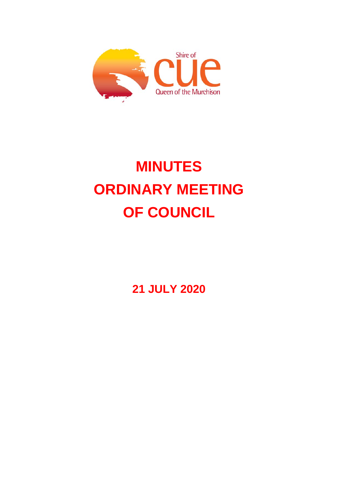

# **MINUTES ORDINARY MEETING OF COUNCIL**

**21 JULY 2020**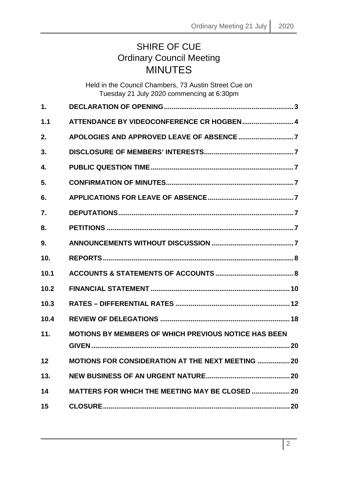## SHIRE OF CUE Ordinary Council Meeting MINUTES

|      | Held in the Council Chambers, 73 Austin Street Cue on<br>Tuesday 21 July 2020 commencing at 6:30pm |  |
|------|----------------------------------------------------------------------------------------------------|--|
| 1.   |                                                                                                    |  |
| 1.1  | ATTENDANCE BY VIDEOCONFERENCE CR HOGBEN 4                                                          |  |
| 2.   |                                                                                                    |  |
| 3.   |                                                                                                    |  |
| 4.   |                                                                                                    |  |
| 5.   |                                                                                                    |  |
| 6.   |                                                                                                    |  |
| 7.   |                                                                                                    |  |
| 8.   |                                                                                                    |  |
| 9.   |                                                                                                    |  |
| 10.  |                                                                                                    |  |
| 10.1 |                                                                                                    |  |
| 10.2 |                                                                                                    |  |
| 10.3 |                                                                                                    |  |
| 10.4 |                                                                                                    |  |
| 11.  | <b>MOTIONS BY MEMBERS OF WHICH PREVIOUS NOTICE HAS BEEN</b>                                        |  |
| 12   | <b>MOTIONS FOR CONSIDERATION AT THE NEXT MEETING  20</b>                                           |  |
| 13.  |                                                                                                    |  |
| 14   | <b>MATTERS FOR WHICH THE MEETING MAY BE CLOSED  20</b>                                             |  |
| 15   |                                                                                                    |  |
|      |                                                                                                    |  |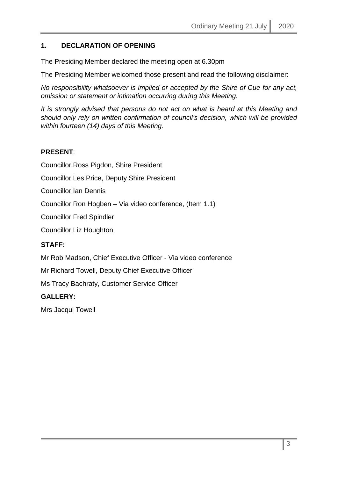#### <span id="page-2-0"></span>**1. DECLARATION OF OPENING**

The Presiding Member declared the meeting open at 6.30pm

The Presiding Member welcomed those present and read the following disclaimer:

*No responsibility whatsoever is implied or accepted by the Shire of Cue for any act, omission or statement or intimation occurring during this Meeting.*

*It is strongly advised that persons do not act on what is heard at this Meeting and should only rely on written confirmation of council's decision, which will be provided within fourteen (14) days of this Meeting.*

#### **PRESENT**:

Councillor Ross Pigdon, Shire President

Councillor Les Price, Deputy Shire President

Councillor Ian Dennis

Councillor Ron Hogben – Via video conference, (Item 1.1)

Councillor Fred Spindler

Councillor Liz Houghton

#### **STAFF:**

Mr Rob Madson, Chief Executive Officer - Via video conference

Mr Richard Towell, Deputy Chief Executive Officer

Ms Tracy Bachraty, Customer Service Officer

#### **GALLERY:**

Mrs Jacqui Towell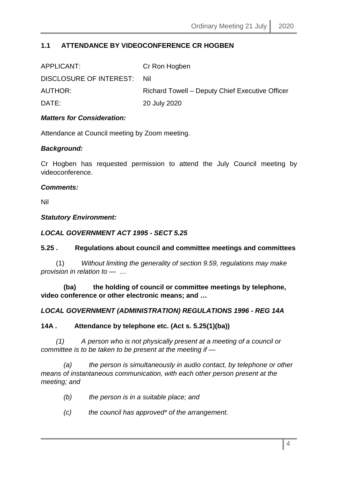#### <span id="page-3-0"></span>**1.1 ATTENDANCE BY VIDEOCONFERENCE CR HOGBEN**

| APPLICANT:                  | Cr Ron Hogben                                   |
|-----------------------------|-------------------------------------------------|
| DISCLOSURE OF INTEREST: Nil |                                                 |
| AUTHOR:                     | Richard Towell – Deputy Chief Executive Officer |
| DATE:                       | 20 July 2020                                    |
|                             |                                                 |

#### *Matters for Consideration:*

Attendance at Council meeting by Zoom meeting.

#### *Background:*

Cr Hogben has requested permission to attend the July Council meeting by videoconference.

#### *Comments:*

Nil

#### *Statutory Environment:*

#### *LOCAL GOVERNMENT ACT 1995 - SECT 5.25*

#### **5.25 . Regulations about council and committee meetings and committees**

 (1) *Without limiting the generality of section 9.59, regulations may make provision in relation to —* …

 **(ba) the holding of council or committee meetings by telephone, video conference or other electronic means; and …**

#### *LOCAL GOVERNMENT (ADMINISTRATION) REGULATIONS 1996 - REG 14A*

#### **14A . Attendance by telephone etc. (Act s. 5.25(1)(ba))**

 *(1) A person who is not physically present at a meeting of a council or committee is to be taken to be present at the meeting if —*

 *(a) the person is simultaneously in audio contact, by telephone or other means of instantaneous communication, with each other person present at the meeting; and* 

- *(b) the person is in a suitable place; and*
- *(c) the council has approved\* of the arrangement.*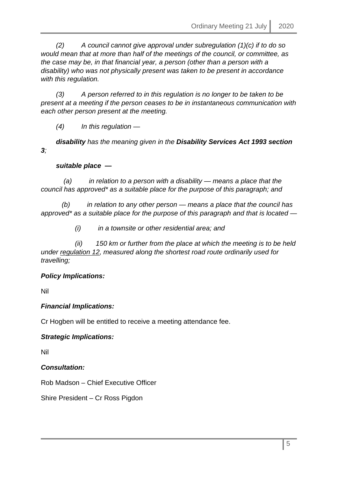*(2) A council cannot give approval under subregulation (1)(c) if to do so would mean that at more than half of the meetings of the council, or committee, as the case may be, in that financial year, a person (other than a person with a disability) who was not physically present was taken to be present in accordance with this regulation.* 

 *(3) A person referred to in this regulation is no longer to be taken to be present at a meeting if the person ceases to be in instantaneous communication with each other person present at the meeting.* 

 *(4) In this regulation —*

 *disability has the meaning given in the Disability Services Act 1993 section 3;* 

#### *suitable place —*

 *(a) in relation to a person with a disability — means a place that the council has approved\* as a suitable place for the purpose of this paragraph; and* 

 *(b) in relation to any other person — means a place that the council has approved\* as a suitable place for the purpose of this paragraph and that is located —*

 *(i) in a townsite or other residential area; and* 

 *(ii) 150 km or further from the place at which the meeting is to be held under regulation 12, measured along the shortest road route ordinarily used for travelling;*

#### *Policy Implications:*

Nil

#### *Financial Implications:*

Cr Hogben will be entitled to receive a meeting attendance fee.

#### *Strategic Implications:*

Nil

*Consultation:*

Rob Madson – Chief Executive Officer

Shire President – Cr Ross Pigdon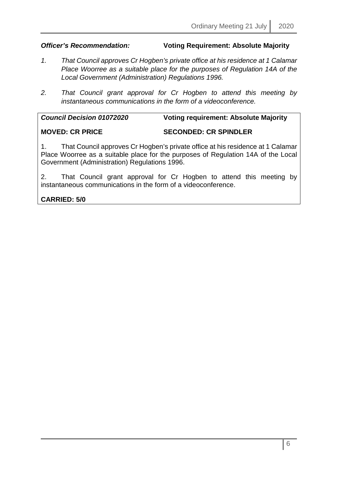#### *Officer's Recommendation:* **Voting Requirement: Absolute Majority**

- *1. That Council approves Cr Hogben's private office at his residence at 1 Calamar Place Woorree as a suitable place for the purposes of Regulation 14A of the Local Government (Administration) Regulations 1996.*
- *2. That Council grant approval for Cr Hogben to attend this meeting by instantaneous communications in the form of a videoconference.*

| <b>Council Decision 01072020</b> | <b>Voting requirement: Absolute Majority</b> |
|----------------------------------|----------------------------------------------|
| <b>MOVED: CR PRICE</b>           | <b>SECONDED: CR SPINDLER</b>                 |

1. That Council approves Cr Hogben's private office at his residence at 1 Calamar Place Woorree as a suitable place for the purposes of Regulation 14A of the Local Government (Administration) Regulations 1996.

2. That Council grant approval for Cr Hogben to attend this meeting by instantaneous communications in the form of a videoconference.

#### **CARRIED: 5/0**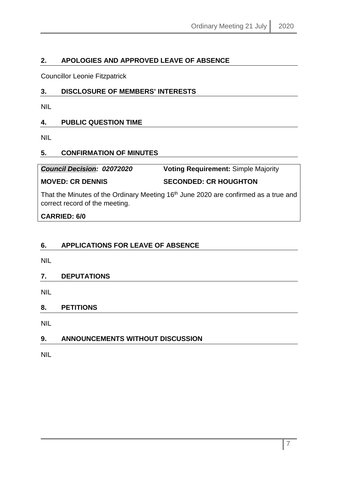#### <span id="page-6-0"></span>**2. APOLOGIES AND APPROVED LEAVE OF ABSENCE**

Councillor Leonie Fitzpatrick

#### <span id="page-6-1"></span>**3. DISCLOSURE OF MEMBERS' INTERESTS**

NIL

#### <span id="page-6-2"></span>**4. PUBLIC QUESTION TIME**

NIL

#### <span id="page-6-3"></span>**5. CONFIRMATION OF MINUTES**

*Council Decision: 02072020* **Voting Requirement:** Simple Majority **MOVED: CR DENNIS SECONDED: CR HOUGHTON**

That the Minutes of the Ordinary Meeting 16<sup>th</sup> June 2020 are confirmed as a true and correct record of the meeting.

#### **CARRIED: 6/0**

### <span id="page-6-4"></span>**6. APPLICATIONS FOR LEAVE OF ABSENCE**

NIL

#### <span id="page-6-5"></span>**7. DEPUTATIONS**

NIL

#### <span id="page-6-6"></span>**8. PETITIONS**

NIL

#### <span id="page-6-7"></span>**9. ANNOUNCEMENTS WITHOUT DISCUSSION**

NIL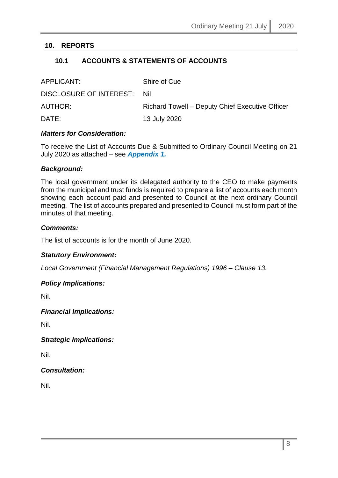#### <span id="page-7-1"></span><span id="page-7-0"></span>**10. REPORTS**

#### **10.1 ACCOUNTS & STATEMENTS OF ACCOUNTS**

| APPLICANT:                  | Shire of Cue                                    |
|-----------------------------|-------------------------------------------------|
| DISCLOSURE OF INTEREST: Nil |                                                 |
| AUTHOR:                     | Richard Towell – Deputy Chief Executive Officer |
| DATE:                       | 13 July 2020                                    |

#### *Matters for Consideration:*

To receive the List of Accounts Due & Submitted to Ordinary Council Meeting on 21 July 2020 as attached – see *Appendix 1.*

#### *Background:*

The local government under its delegated authority to the CEO to make payments from the municipal and trust funds is required to prepare a list of accounts each month showing each account paid and presented to Council at the next ordinary Council meeting. The list of accounts prepared and presented to Council must form part of the minutes of that meeting.

#### *Comments:*

The list of accounts is for the month of June 2020.

#### *Statutory Environment:*

*Local Government (Financial Management Regulations) 1996 – Clause 13.*

#### *Policy Implications:*

Nil.

#### *Financial Implications:*

Nil.

*Strategic Implications:*

Nil.

#### *Consultation:*

Nil.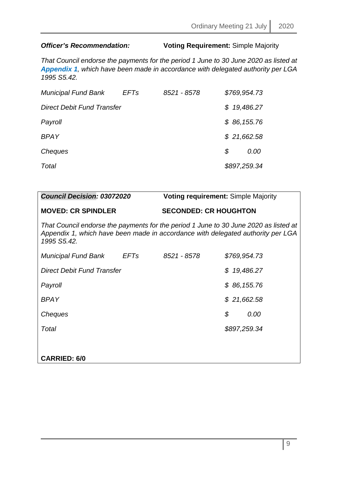### *Officer's Recommendation:* **Voting Requirement:** Simple Majority

*That Council endorse the payments for the period 1 June to 30 June 2020 as listed at Appendix 1, which have been made in accordance with delegated authority per LGA 1995 S5.42.*

| <b>Municipal Fund Bank</b>        | <b>EFTs</b> | 8521 - 8578 | \$769,954.73 |
|-----------------------------------|-------------|-------------|--------------|
| <b>Direct Debit Fund Transfer</b> |             |             | \$19,486.27  |
| Payroll                           |             |             | \$86,155.76  |
| <b>BPAY</b>                       |             |             | \$21,662.58  |
| Cheques                           |             |             | \$<br>0.00   |
| Total                             |             |             | \$897,259.34 |

| <b>Council Decision: 03072020</b>                                                              |             | <b>Voting requirement: Simple Majority</b> |                                                                                      |
|------------------------------------------------------------------------------------------------|-------------|--------------------------------------------|--------------------------------------------------------------------------------------|
| <b>MOVED: CR SPINDLER</b>                                                                      |             | <b>SECONDED: CR HOUGHTON</b>               |                                                                                      |
| Appendix 1, which have been made in accordance with delegated authority per LGA<br>1995 S5.42. |             |                                            | That Council endorse the payments for the period 1 June to 30 June 2020 as listed at |
| Municipal Fund Bank                                                                            | <b>EFTs</b> | 8521 - 8578                                | \$769,954.73                                                                         |
| Direct Debit Fund Transfer                                                                     |             |                                            | 19,486.27<br>S.                                                                      |
| Payroll                                                                                        |             |                                            | \$86,155.76                                                                          |
| BPAY                                                                                           |             |                                            | \$21,662.58                                                                          |
| Cheques                                                                                        |             |                                            | \$<br>0.00                                                                           |
| Total                                                                                          |             |                                            | \$897,259.34                                                                         |
|                                                                                                |             |                                            |                                                                                      |
| <b>CARRIED: 6/0</b>                                                                            |             |                                            |                                                                                      |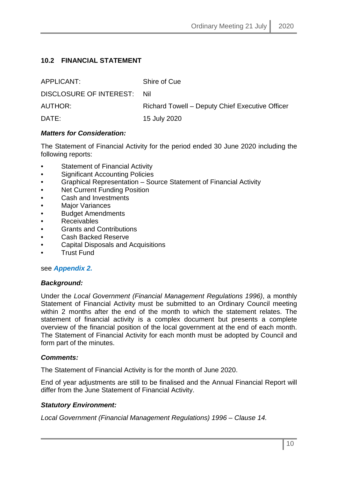#### <span id="page-9-0"></span>**10.2 FINANCIAL STATEMENT**

| APPLICANT:                  | Shire of Cue                                    |
|-----------------------------|-------------------------------------------------|
| DISCLOSURE OF INTEREST: Nil |                                                 |
| AUTHOR:                     | Richard Towell – Deputy Chief Executive Officer |
| DATE:                       | 15 July 2020                                    |

#### *Matters for Consideration:*

The Statement of Financial Activity for the period ended 30 June 2020 including the following reports:

- Statement of Financial Activity
- Significant Accounting Policies
- Graphical Representation Source Statement of Financial Activity
- **Net Current Funding Position**
- Cash and Investments
- **Major Variances**
- Budget Amendments
- Receivables
- Grants and Contributions
- Cash Backed Reserve
- Capital Disposals and Acquisitions
- Trust Fund

#### see *Appendix 2.*

#### *Background:*

Under the *Local Government (Financial Management Regulations 1996)*, a monthly Statement of Financial Activity must be submitted to an Ordinary Council meeting within 2 months after the end of the month to which the statement relates. The statement of financial activity is a complex document but presents a complete overview of the financial position of the local government at the end of each month. The Statement of Financial Activity for each month must be adopted by Council and form part of the minutes.

#### *Comments:*

The Statement of Financial Activity is for the month of June 2020.

End of year adjustments are still to be finalised and the Annual Financial Report will differ from the June Statement of Financial Activity.

#### *Statutory Environment:*

*Local Government (Financial Management Regulations) 1996 – Clause 14.*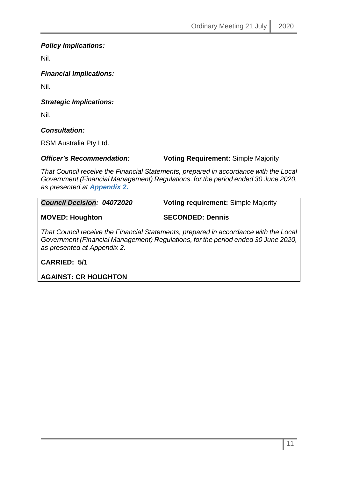#### *Policy Implications:*

Nil.

*Financial Implications:*

Nil.

*Strategic Implications:*

Nil.

*Consultation:*

RSM Australia Pty Ltd.

*Officer's Recommendation:* **Voting Requirement:** Simple Majority

*That Council receive the Financial Statements, prepared in accordance with the Local Government (Financial Management) Regulations, for the period ended 30 June 2020, as presented at Appendix 2.*

| <b>Council Decision: 04072020</b> | <b>Voting requirement: Simple Majority</b> |  |  |  |
|-----------------------------------|--------------------------------------------|--|--|--|
| <b>MOVED: Houghton</b>            | <b>SECONDED: Dennis</b>                    |  |  |  |

*That Council receive the Financial Statements, prepared in accordance with the Local Government (Financial Management) Regulations, for the period ended 30 June 2020, as presented at Appendix 2.* 

**CARRIED: 5/1**

**AGAINST: CR HOUGHTON**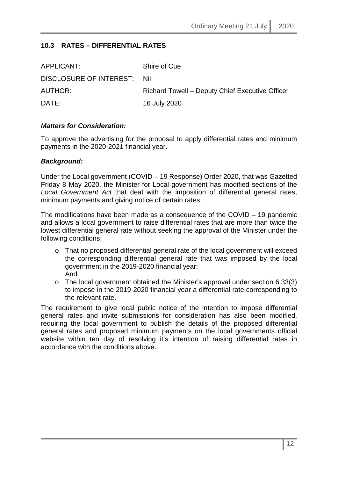#### <span id="page-11-0"></span>**10.3 RATES – DIFFERENTIAL RATES**

| APPLICANT:                  | Shire of Cue                                    |
|-----------------------------|-------------------------------------------------|
| DISCLOSURE OF INTEREST: Nil |                                                 |
| AUTHOR:                     | Richard Towell - Deputy Chief Executive Officer |
| DATE:                       | 16 July 2020                                    |

#### *Matters for Consideration:*

To approve the advertising for the proposal to apply differential rates and minimum payments in the 2020-2021 financial year.

#### *Background:*

Under the Local government (COVID – 19 Response) Order 2020, that was Gazetted Friday 8 May 2020, the Minister for Local government has modified sections of the *Local Government Act* that deal with the imposition of differential general rates, minimum payments and giving notice of certain rates.

The modifications have been made as a consequence of the COVID – 19 pandemic and allows a local government to raise differential rates that are more than twice the lowest differential general rate without seeking the approval of the Minister under the following conditions;

- o That no proposed differential general rate of the local government will exceed the corresponding differential general rate that was imposed by the local government in the 2019-2020 financial year; And
- o The local government obtained the Minister's approval under section 6.33(3) to impose in the 2019-2020 financial year a differential rate corresponding to the relevant rate.

The requirement to give local public notice of the intention to impose differential general rates and invite submissions for consideration has also been modified, requiring the local government to publish the details of the proposed differential general rates and proposed minimum payments on the local governments official website within ten day of resolving it's intention of raising differential rates in accordance with the conditions above.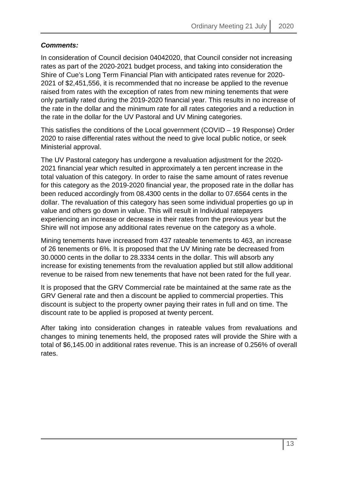### *Comments:*

In consideration of Council decision 04042020, that Council consider not increasing rates as part of the 2020-2021 budget process, and taking into consideration the Shire of Cue's Long Term Financial Plan with anticipated rates revenue for 2020- 2021 of \$2,451,556, it is recommended that no increase be applied to the revenue raised from rates with the exception of rates from new mining tenements that were only partially rated during the 2019-2020 financial year. This results in no increase of the rate in the dollar and the minimum rate for all rates categories and a reduction in the rate in the dollar for the UV Pastoral and UV Mining categories.

This satisfies the conditions of the Local government (COVID – 19 Response) Order 2020 to raise differential rates without the need to give local public notice, or seek Ministerial approval.

The UV Pastoral category has undergone a revaluation adjustment for the 2020- 2021 financial year which resulted in approximately a ten percent increase in the total valuation of this category. In order to raise the same amount of rates revenue for this category as the 2019-2020 financial year, the proposed rate in the dollar has been reduced accordingly from 08.4300 cents in the dollar to 07.6564 cents in the dollar. The revaluation of this category has seen some individual properties go up in value and others go down in value. This will result in Individual ratepayers experiencing an increase or decrease in their rates from the previous year but the Shire will not impose any additional rates revenue on the category as a whole.

Mining tenements have increased from 437 rateable tenements to 463, an increase of 26 tenements or 6%. It is proposed that the UV Mining rate be decreased from 30.0000 cents in the dollar to 28.3334 cents in the dollar. This will absorb any increase for existing tenements from the revaluation applied but still allow additional revenue to be raised from new tenements that have not been rated for the full year.

It is proposed that the GRV Commercial rate be maintained at the same rate as the GRV General rate and then a discount be applied to commercial properties. This discount is subject to the property owner paying their rates in full and on time. The discount rate to be applied is proposed at twenty percent.

After taking into consideration changes in rateable values from revaluations and changes to mining tenements held, the proposed rates will provide the Shire with a total of \$6,145.00 in additional rates revenue. This is an increase of 0.256% of overall rates.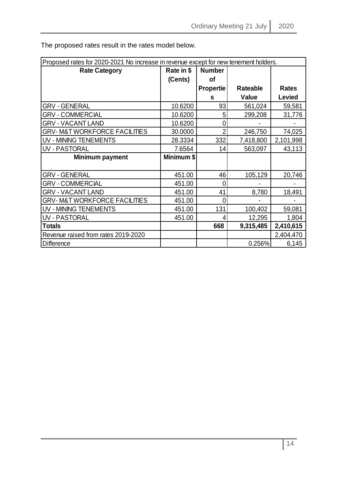| Proposed rates for 2020-2021 No increase in revenue except for new tenement holders. |            |                  |                 |              |  |
|--------------------------------------------------------------------------------------|------------|------------------|-----------------|--------------|--|
| Rate in \$<br><b>Number</b><br><b>Rate Category</b>                                  |            |                  |                 |              |  |
|                                                                                      | (Cents)    | οf               |                 |              |  |
|                                                                                      |            | <b>Propertie</b> | <b>Rateable</b> | <b>Rates</b> |  |
|                                                                                      |            | s                | <b>Value</b>    | Levied       |  |
| <b>GRV - GENERAL</b>                                                                 | 10.6200    | 93               | 561,024         | 59,581       |  |
| <b>GRV - COMMERCIAL</b>                                                              | 10.6200    | 5                | 299,208         | 31,776       |  |
| <b>GRV - VACANT LAND</b>                                                             | 10.6200    | 0                |                 |              |  |
| <b>GRV-M&amp;T WORKFORCE FACILITIES</b>                                              | 30.0000    | $\overline{2}$   | 246,750         | 74,025       |  |
| UV - MINING TENEMENTS                                                                | 28.3334    | 332              | 7,418,800       | 2,101,998    |  |
| UV - PASTORAL                                                                        | 7.6564     | 14               | 563,097         | 43,113       |  |
| Minimum payment                                                                      | Minimum \$ |                  |                 |              |  |
|                                                                                      |            |                  |                 |              |  |
| <b>GRV - GENERAL</b>                                                                 | 451.00     | 46               | 105,129         | 20,746       |  |
| <b>GRV - COMMERCIAL</b>                                                              | 451.00     | 0                |                 |              |  |
| <b>GRV - VACANT LAND</b>                                                             | 451.00     | 41               | 8,780           | 18,491       |  |
| <b>GRV-M&amp;T WORKFORCE FACILITIES</b>                                              | 451.00     | 0                |                 |              |  |
| UV - MINING TENEMENTS                                                                | 451.00     | 131              | 100,402         | 59,081       |  |
| <b>UV - PASTORAL</b>                                                                 | 451.00     | 4                | 12,295          | 1,804        |  |
| <b>Totals</b>                                                                        |            | 668              | 9,315,485       | 2,410,615    |  |
| Revenue raised from rates 2019-2020                                                  |            |                  |                 | 2,404,470    |  |
| <b>Difference</b>                                                                    |            |                  | 0.256%          | 6,145        |  |

The proposed rates result in the rates model below.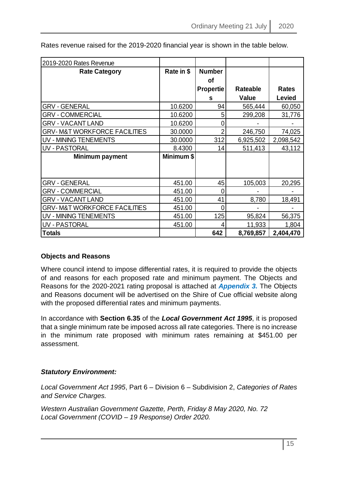| 2019-2020 Rates Revenue                 |            |                  |                 |              |
|-----------------------------------------|------------|------------------|-----------------|--------------|
| <b>Rate Category</b>                    | Rate in \$ | <b>Number</b>    |                 |              |
|                                         |            | <b>of</b>        |                 |              |
|                                         |            | <b>Propertie</b> | <b>Rateable</b> | <b>Rates</b> |
|                                         |            | S                | Value           | Levied       |
| GRV - GENERAL                           | 10.6200    | 94               | 565,444         | 60,050       |
| <b>GRV - COMMERCIAL</b>                 | 10.6200    | 5                | 299,208         | 31,776       |
| <b>GRV - VACANT LAND</b>                | 10.6200    | Ω                |                 |              |
| <b>GRV-M&amp;T WORKFORCE FACILITIES</b> | 30.0000    | 2                | 246,750         | 74,025       |
| UV - MINING TENEMENTS                   | 30.0000    | 312              | 6,925,502       | 2,098,542    |
| <b>UV - PASTORAL</b>                    | 8.4300     | 14               | 511,413         | 43,112       |
| Minimum payment                         | Minimum \$ |                  |                 |              |
|                                         |            |                  |                 |              |
|                                         |            |                  |                 |              |
| <b>GRV - GENERAL</b>                    | 451.00     | 45               | 105,003         | 20,295       |
| <b>GRV - COMMERCIAL</b>                 | 451.00     | 0                |                 |              |
| <b>GRV - VACANT LAND</b>                | 451.00     | 41               | 8,780           | 18,491       |
| <b>GRV-M&amp;T WORKFORCE FACILITIES</b> | 451.00     | 0                |                 |              |
| UV - MINING TENEMENTS                   | 451.00     | 125              | 95,824          | 56,375       |
| <b>UV - PASTORAL</b>                    | 451.00     | 4                | 11,933          | 1,804        |
| <b>Totals</b>                           |            | 642              | 8,769,857       | 2,404,470    |

Rates revenue raised for the 2019-2020 financial year is shown in the table below.

#### **Objects and Reasons**

Where council intend to impose differential rates, it is required to provide the objects of and reasons for each proposed rate and minimum payment. The Objects and Reasons for the 2020-2021 rating proposal is attached at *Appendix 3.* The Objects and Reasons document will be advertised on the Shire of Cue official website along with the proposed differential rates and minimum payments.

In accordance with **Section 6.35** of the *Local Government Act 1995*, it is proposed that a single minimum rate be imposed across all rate categories. There is no increase in the minimum rate proposed with minimum rates remaining at \$451.00 per assessment.

#### *Statutory Environment:*

*Local Government Act 1995*, Part 6 – Division 6 – Subdivision 2, *Categories of Rates and Service Charges.*

*Western Australian Government Gazette, Perth, Friday 8 May 2020, No. 72 Local Government (COVID – 19 Response) Order 2020.*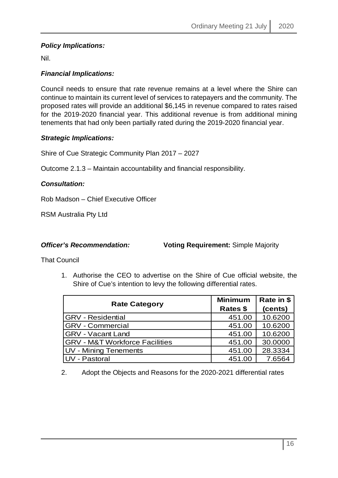#### *Policy Implications:*

Nil.

#### *Financial Implications:*

Council needs to ensure that rate revenue remains at a level where the Shire can continue to maintain its current level of services to ratepayers and the community. The proposed rates will provide an additional \$6,145 in revenue compared to rates raised for the 2019-2020 financial year. This additional revenue is from additional mining tenements that had only been partially rated during the 2019-2020 financial year.

#### *Strategic Implications:*

Shire of Cue Strategic Community Plan 2017 – 2027

Outcome 2.1.3 – Maintain accountability and financial responsibility.

#### *Consultation:*

Rob Madson – Chief Executive Officer

RSM Australia Pty Ltd

*Officer's Recommendation:* **Voting Requirement:** Simple Majority

That Council

1. Authorise the CEO to advertise on the Shire of Cue official website, the Shire of Cue's intention to levy the following differential rates.

| <b>Rate Category</b>                      | <b>Minimum</b><br>Rates \$ | Rate in \$<br>(cents) |
|-------------------------------------------|----------------------------|-----------------------|
| <b>GRV</b> - Residential                  | 451.00                     | 10.6200               |
| <b>GRV</b> - Commercial                   | 451.00                     | 10.6200               |
| <b>GRV - Vacant Land</b>                  | 451.00                     | 10.6200               |
| <b>GRV - M&amp;T Workforce Facilities</b> | 451.00                     | 30.0000               |
| UV - Mining Tenements                     | 451.00                     | 28.3334               |
| <b>UV</b> - Pastoral                      | 451.00                     | 7.6564                |

2. Adopt the Objects and Reasons for the 2020-2021 differential rates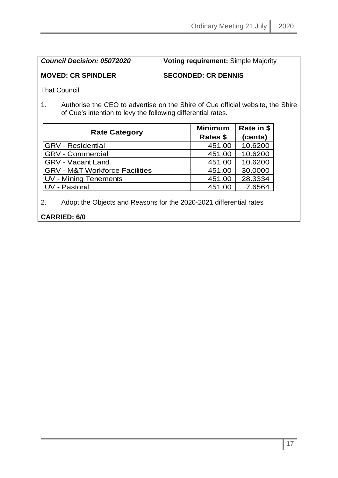*Council Decision: 05072020* **Voting requirement:** Simple Majority

#### **MOVED: CR SPINDLER SECONDED: CR DENNIS**

That Council

1. Authorise the CEO to advertise on the Shire of Cue official website, the Shire of Cue's intention to levy the following differential rates.

| <b>Rate Category</b>                      | <b>Minimum</b><br>Rates \$ | Rate in \$<br>(cents) |
|-------------------------------------------|----------------------------|-----------------------|
| <b>GRV</b> - Residential                  | 451.00                     | 10.6200               |
| <b>GRV</b> - Commercial                   | 451.00                     | 10.6200               |
| <b>GRV - Vacant Land</b>                  | 451.00                     | 10.6200               |
| <b>GRV - M&amp;T Workforce Facilities</b> | 451.00                     | 30.0000               |
| UV - Mining Tenements                     | 451.00                     | 28.3334               |
| <b>UV</b> - Pastoral                      | 451.00                     | 7.6564                |

2. Adopt the Objects and Reasons for the 2020-2021 differential rates

#### **CARRIED: 6/0**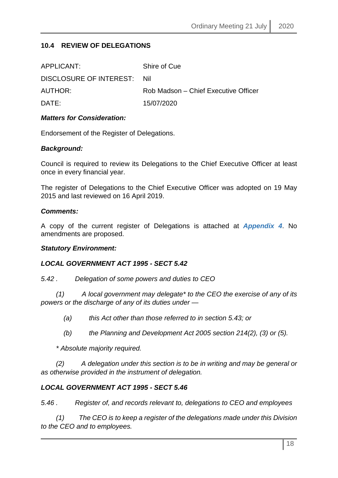#### <span id="page-17-0"></span>**10.4 REVIEW OF DELEGATIONS**

| Shire of Cue                         |
|--------------------------------------|
| DISCLOSURE OF INTEREST: Nil          |
| Rob Madson – Chief Executive Officer |
| 15/07/2020                           |
|                                      |

#### *Matters for Consideration:*

Endorsement of the Register of Delegations.

#### *Background:*

Council is required to review its Delegations to the Chief Executive Officer at least once in every financial year.

The register of Delegations to the Chief Executive Officer was adopted on 19 May 2015 and last reviewed on 16 April 2019.

#### *Comments:*

A copy of the current register of Delegations is attached at *Appendix 4*. No amendments are proposed.

#### *Statutory Environment:*

#### *LOCAL GOVERNMENT ACT 1995 - SECT 5.42*

*5.42 . Delegation of some powers and duties to CEO*

 *(1) A local government may delegate\* to the CEO the exercise of any of its powers or the discharge of any of its duties under —*

- *(a) this Act other than those referred to in section 5.43; or*
- *(b) the Planning and Development Act 2005 section 214(2), (3) or (5).*

 *\* Absolute majority required.* 

 *(2) A delegation under this section is to be in writing and may be general or as otherwise provided in the instrument of delegation.*

#### *LOCAL GOVERNMENT ACT 1995 - SECT 5.46*

*5.46 . Register of, and records relevant to, delegations to CEO and employees*

 *(1) The CEO is to keep a register of the delegations made under this Division to the CEO and to employees.*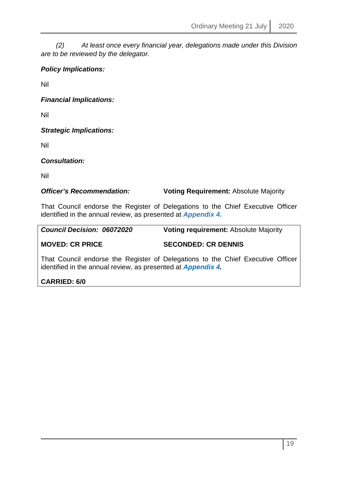*(2) At least once every financial year, delegations made under this Division are to be reviewed by the delegator.*

#### *Policy Implications:*

Nil

*Financial Implications:*

Nil

*Strategic Implications:*

Nil

*Consultation:*

Nil

**Officer's Recommendation: Voting Requirement: Absolute Majority** 

That Council endorse the Register of Delegations to the Chief Executive Officer identified in the annual review, as presented at *Appendix 4.*

| <b>Council Decision: 06072020</b> | <b>Voting requirement: Absolute Majority</b>                                                                   |
|-----------------------------------|----------------------------------------------------------------------------------------------------------------|
| <b>MOVED: CR PRICE</b>            | <b>SECONDED: CR DENNIS</b>                                                                                     |
|                                   | The Accepted Book of Alberta and Alberta and Alberta and Alberta Alberta Alberta Alberta and Alberta Alberta A |

That Council endorse the Register of Delegations to the Chief Executive Officer identified in the annual review, as presented at *Appendix 4.*

#### **CARRIED: 6/0**